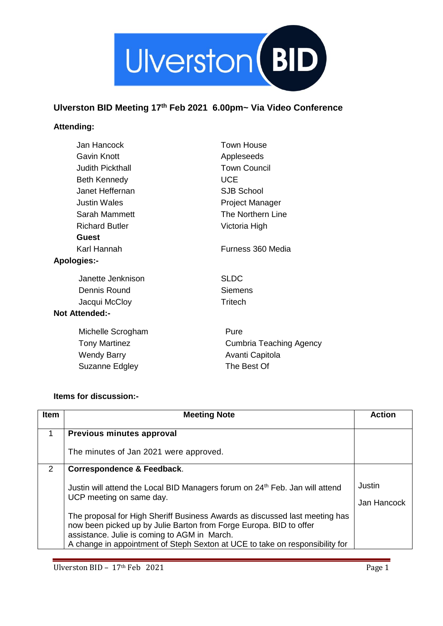

## **Ulverston BID Meeting 17th Feb 2021 6.00pm~ Via Video Conference**

## **Attending:**

| Jan Hancock             | <b>Town House</b>       |  |  |
|-------------------------|-------------------------|--|--|
| Gavin Knott             | Appleseeds              |  |  |
| <b>Judith Pickthall</b> | <b>Town Council</b>     |  |  |
| <b>Beth Kennedy</b>     | <b>UCE</b>              |  |  |
| Janet Heffernan         | <b>SJB School</b>       |  |  |
| <b>Justin Wales</b>     | Project Manager         |  |  |
| Sarah Mammett           | The Northern Line       |  |  |
| <b>Richard Butler</b>   | Victoria High           |  |  |
| <b>Guest</b>            |                         |  |  |
| Karl Hannah             | Furness 360 Media       |  |  |
| <b>Apologies:-</b>      |                         |  |  |
| Janette Jenknison       | <b>SLDC</b>             |  |  |
| Dennis Round            | <b>Siemens</b>          |  |  |
| Jacqui McCloy           | <b>Tritech</b>          |  |  |
| <b>Not Attended:-</b>   |                         |  |  |
| Michelle Scrogham       | Pure                    |  |  |
| <b>Tony Martinez</b>    | Cumbria Teaching Agency |  |  |
| <b>Wendy Barry</b>      | Avanti Capitola         |  |  |
| Suzanne Edgley          | The Best Of             |  |  |
|                         |                         |  |  |

## **Items for discussion:-**

| <b>Item</b> | <b>Meeting Note</b>                                                                                                                                                                               | <b>Action</b> |
|-------------|---------------------------------------------------------------------------------------------------------------------------------------------------------------------------------------------------|---------------|
| 1           | Previous minutes approval                                                                                                                                                                         |               |
|             | The minutes of Jan 2021 were approved.                                                                                                                                                            |               |
| 2           | <b>Correspondence &amp; Feedback.</b>                                                                                                                                                             |               |
|             | Justin will attend the Local BID Managers forum on 24 <sup>th</sup> Feb. Jan will attend<br>UCP meeting on same day.                                                                              | Justin        |
|             |                                                                                                                                                                                                   | Jan Hancock   |
|             | The proposal for High Sheriff Business Awards as discussed last meeting has<br>now been picked up by Julie Barton from Forge Europa. BID to offer<br>assistance. Julie is coming to AGM in March. |               |
|             | A change in appointment of Steph Sexton at UCE to take on responsibility for                                                                                                                      |               |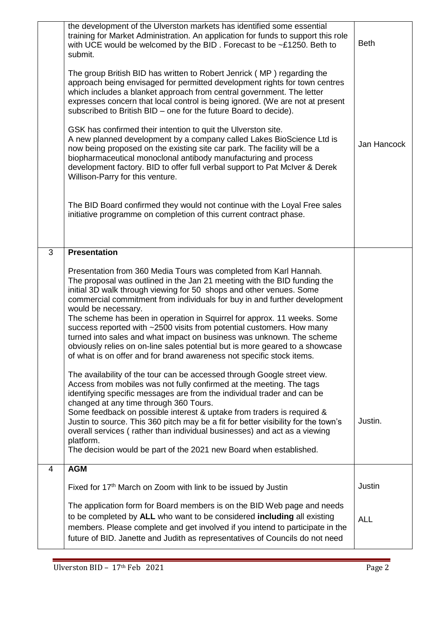|   | the development of the Ulverston markets has identified some essential<br>training for Market Administration. An application for funds to support this role<br>with UCE would be welcomed by the BID. Forecast to be ~£1250. Beth to<br>submit.                                                                                                                                                                                                                                                                                                                                                                                                                                                                | <b>Beth</b> |
|---|----------------------------------------------------------------------------------------------------------------------------------------------------------------------------------------------------------------------------------------------------------------------------------------------------------------------------------------------------------------------------------------------------------------------------------------------------------------------------------------------------------------------------------------------------------------------------------------------------------------------------------------------------------------------------------------------------------------|-------------|
|   | The group British BID has written to Robert Jenrick (MP) regarding the<br>approach being envisaged for permitted development rights for town centres<br>which includes a blanket approach from central government. The letter<br>expresses concern that local control is being ignored. (We are not at present<br>subscribed to British BID – one for the future Board to decide).                                                                                                                                                                                                                                                                                                                             |             |
|   | GSK has confirmed their intention to quit the Ulverston site.<br>A new planned development by a company called Lakes BioScience Ltd is<br>now being proposed on the existing site car park. The facility will be a<br>biopharmaceutical monoclonal antibody manufacturing and process<br>development factory. BID to offer full verbal support to Pat McIver & Derek<br>Willison-Parry for this venture.                                                                                                                                                                                                                                                                                                       | Jan Hancock |
|   | The BID Board confirmed they would not continue with the Loyal Free sales<br>initiative programme on completion of this current contract phase.                                                                                                                                                                                                                                                                                                                                                                                                                                                                                                                                                                |             |
| 3 | <b>Presentation</b>                                                                                                                                                                                                                                                                                                                                                                                                                                                                                                                                                                                                                                                                                            |             |
|   | Presentation from 360 Media Tours was completed from Karl Hannah.<br>The proposal was outlined in the Jan 21 meeting with the BID funding the<br>initial 3D walk through viewing for 50 shops and other venues. Some<br>commercial commitment from individuals for buy in and further development<br>would be necessary.<br>The scheme has been in operation in Squirrel for approx. 11 weeks. Some<br>success reported with ~2500 visits from potential customers. How many<br>turned into sales and what impact on business was unknown. The scheme<br>obviously relies on on-line sales potential but is more geared to a showcase<br>of what is on offer and for brand awareness not specific stock items. |             |
|   | The availability of the tour can be accessed through Google street view.<br>Access from mobiles was not fully confirmed at the meeting. The tags<br>identifying specific messages are from the individual trader and can be<br>changed at any time through 360 Tours.<br>Some feedback on possible interest & uptake from traders is required &<br>Justin to source. This 360 pitch may be a fit for better visibility for the town's                                                                                                                                                                                                                                                                          | Justin.     |
|   | overall services (rather than individual businesses) and act as a viewing<br>platform.<br>The decision would be part of the 2021 new Board when established.                                                                                                                                                                                                                                                                                                                                                                                                                                                                                                                                                   |             |
| 4 | <b>AGM</b>                                                                                                                                                                                                                                                                                                                                                                                                                                                                                                                                                                                                                                                                                                     |             |
|   |                                                                                                                                                                                                                                                                                                                                                                                                                                                                                                                                                                                                                                                                                                                |             |
|   | Fixed for 17 <sup>th</sup> March on Zoom with link to be issued by Justin                                                                                                                                                                                                                                                                                                                                                                                                                                                                                                                                                                                                                                      | Justin      |